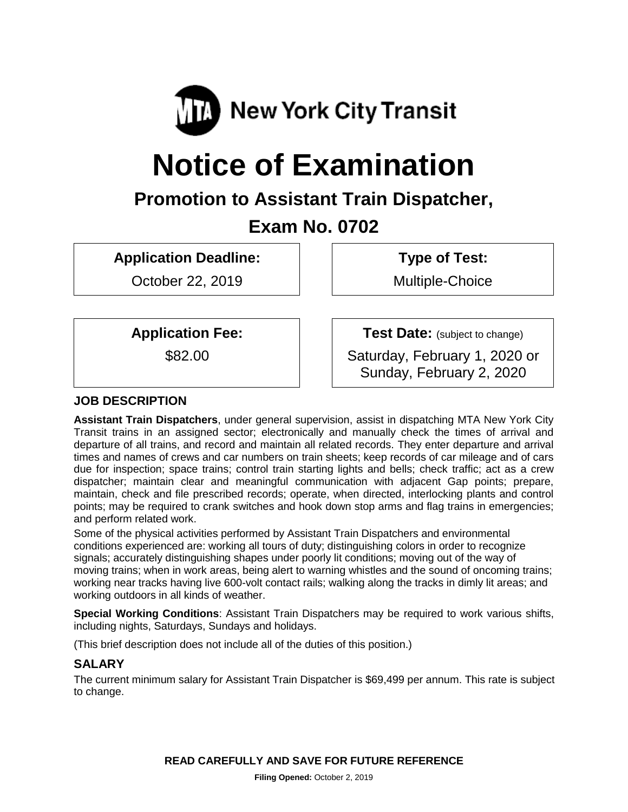

# **Notice of Examination**

# **Promotion to Assistant Train Dispatcher,**

# **Exam No. 0702**

**Application Deadline:**

October 22, 2019

**Type of Test:** 

Multiple-Choice

**Application Fee:**

\$82.00

**Test Date:** (subject to change)

Saturday, February 1, 2020 or Sunday, February 2, 2020

# **JOB DESCRIPTION**

**Assistant Train Dispatchers**, under general supervision, assist in dispatching MTA New York City Transit trains in an assigned sector; electronically and manually check the times of arrival and departure of all trains, and record and maintain all related records. They enter departure and arrival times and names of crews and car numbers on train sheets; keep records of car mileage and of cars due for inspection; space trains; control train starting lights and bells; check traffic; act as a crew dispatcher; maintain clear and meaningful communication with adjacent Gap points; prepare, maintain, check and file prescribed records; operate, when directed, interlocking plants and control points; may be required to crank switches and hook down stop arms and flag trains in emergencies; and perform related work.

Some of the physical activities performed by Assistant Train Dispatchers and environmental conditions experienced are: working all tours of duty; distinguishing colors in order to recognize signals; accurately distinguishing shapes under poorly lit conditions; moving out of the way of moving trains; when in work areas, being alert to warning whistles and the sound of oncoming trains; working near tracks having live 600-volt contact rails; walking along the tracks in dimly lit areas; and working outdoors in all kinds of weather.

**Special Working Conditions**: Assistant Train Dispatchers may be required to work various shifts, including nights, Saturdays, Sundays and holidays.

(This brief description does not include all of the duties of this position.)

# **SALARY**

The current minimum salary for Assistant Train Dispatcher is \$69,499 per annum. This rate is subject to change.

**READ CAREFULLY AND SAVE FOR FUTURE REFERENCE**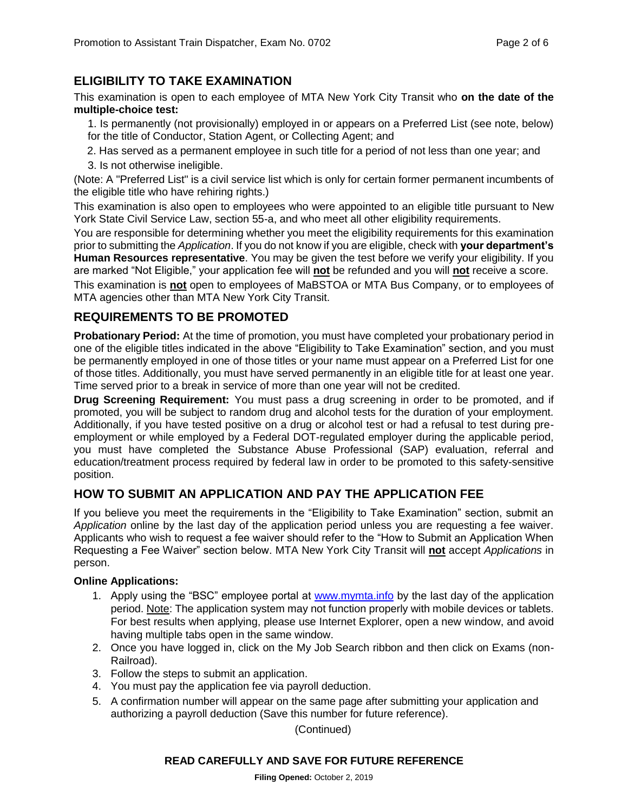# **ELIGIBILITY TO TAKE EXAMINATION**

This examination is open to each employee of MTA New York City Transit who **on the date of the multiple-choice test:** 

1. Is permanently (not provisionally) employed in or appears on a Preferred List (see note, below) for the title of Conductor, Station Agent, or Collecting Agent; and

- 2. Has served as a permanent employee in such title for a period of not less than one year; and
- 3. Is not otherwise ineligible.

(Note: A "Preferred List" is a civil service list which is only for certain former permanent incumbents of the eligible title who have rehiring rights.)

This examination is also open to employees who were appointed to an eligible title pursuant to New York State Civil Service Law, section 55-a, and who meet all other eligibility requirements.

You are responsible for determining whether you meet the eligibility requirements for this examination prior to submitting the *Application*. If you do not know if you are eligible, check with **your department's Human Resources representative**. You may be given the test before we verify your eligibility. If you are marked "Not Eligible," your application fee will **not** be refunded and you will **not** receive a score.

This examination is **not** open to employees of MaBSTOA or MTA Bus Company, or to employees of MTA agencies other than MTA New York City Transit.

# **REQUIREMENTS TO BE PROMOTED**

**Probationary Period:** At the time of promotion, you must have completed your probationary period in one of the eligible titles indicated in the above "Eligibility to Take Examination" section, and you must be permanently employed in one of those titles or your name must appear on a Preferred List for one of those titles. Additionally, you must have served permanently in an eligible title for at least one year. Time served prior to a break in service of more than one year will not be credited.

**Drug Screening Requirement:** You must pass a drug screening in order to be promoted, and if promoted, you will be subject to random drug and alcohol tests for the duration of your employment. Additionally, if you have tested positive on a drug or alcohol test or had a refusal to test during preemployment or while employed by a Federal DOT-regulated employer during the applicable period, you must have completed the Substance Abuse Professional (SAP) evaluation, referral and education/treatment process required by federal law in order to be promoted to this safety-sensitive position.

## **HOW TO SUBMIT AN APPLICATION AND PAY THE APPLICATION FEE**

If you believe you meet the requirements in the "Eligibility to Take Examination" section, submit an *Application* online by the last day of the application period unless you are requesting a fee waiver. Applicants who wish to request a fee waiver should refer to the "How to Submit an Application When Requesting a Fee Waiver" section below. MTA New York City Transit will **not** accept *Applications* in person.

#### **Online Applications:**

- 1. Apply using the "BSC" employee portal at [www.mymta.info](http://www.mymta.info/) by the last day of the application period. Note: The application system may not function properly with mobile devices or tablets. For best results when applying, please use Internet Explorer, open a new window, and avoid having multiple tabs open in the same window.
- 2. Once you have logged in, click on the My Job Search ribbon and then click on Exams (non-Railroad).
- 3. Follow the steps to submit an application.
- 4. You must pay the application fee via payroll deduction.
- 5. A confirmation number will appear on the same page after submitting your application and authorizing a payroll deduction (Save this number for future reference).

(Continued)

#### **READ CAREFULLY AND SAVE FOR FUTURE REFERENCE**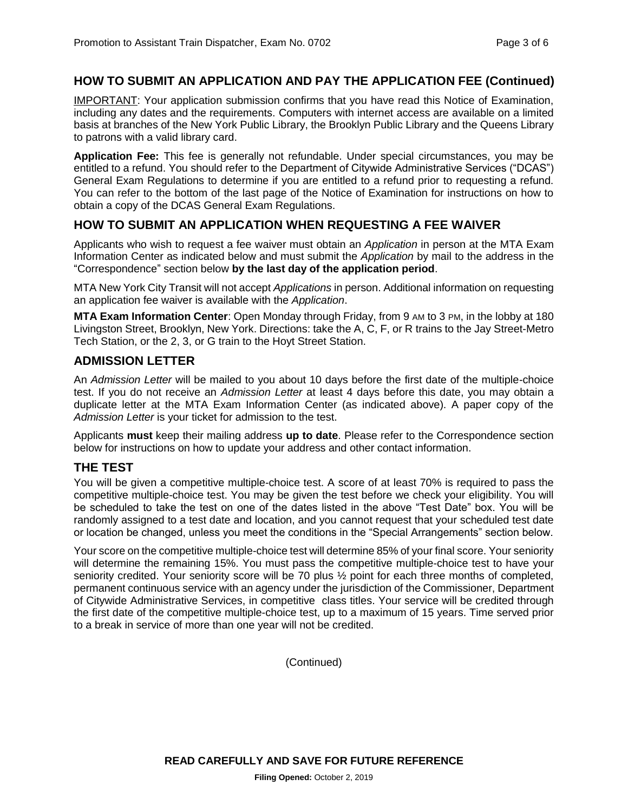#### **HOW TO SUBMIT AN APPLICATION AND PAY THE APPLICATION FEE (Continued)**

IMPORTANT: Your application submission confirms that you have read this Notice of Examination, including any dates and the requirements. Computers with internet access are available on a limited basis at branches of the New York Public Library, the Brooklyn Public Library and the Queens Library to patrons with a valid library card.

**Application Fee:** This fee is generally not refundable. Under special circumstances, you may be entitled to a refund. You should refer to the Department of Citywide Administrative Services ("DCAS") General Exam Regulations to determine if you are entitled to a refund prior to requesting a refund. You can refer to the bottom of the last page of the Notice of Examination for instructions on how to obtain a copy of the DCAS General Exam Regulations.

#### **HOW TO SUBMIT AN APPLICATION WHEN REQUESTING A FEE WAIVER**

Applicants who wish to request a fee waiver must obtain an *Application* in person at the MTA Exam Information Center as indicated below and must submit the *Application* by mail to the address in the "Correspondence" section below **by the last day of the application period**.

MTA New York City Transit will not accept *Applications* in person. Additional information on requesting an application fee waiver is available with the *Application*.

**MTA Exam Information Center**: Open Monday through Friday, from 9 AM to 3 PM, in the lobby at 180 Livingston Street, Brooklyn, New York. Directions: take the A, C, F, or R trains to the Jay Street-Metro Tech Station, or the 2, 3, or G train to the Hoyt Street Station.

#### **ADMISSION LETTER**

An *Admission Letter* will be mailed to you about 10 days before the first date of the multiple-choice test. If you do not receive an *Admission Letter* at least 4 days before this date, you may obtain a duplicate letter at the MTA Exam Information Center (as indicated above). A paper copy of the *Admission Letter* is your ticket for admission to the test.

Applicants **must** keep their mailing address **up to date**. Please refer to the Correspondence section below for instructions on how to update your address and other contact information.

#### **THE TEST**

You will be given a competitive multiple-choice test. A score of at least 70% is required to pass the competitive multiple-choice test. You may be given the test before we check your eligibility. You will be scheduled to take the test on one of the dates listed in the above "Test Date" box. You will be randomly assigned to a test date and location, and you cannot request that your scheduled test date or location be changed, unless you meet the conditions in the "Special Arrangements" section below.

Your score on the competitive multiple-choice test will determine 85% of your final score. Your seniority will determine the remaining 15%. You must pass the competitive multiple-choice test to have your seniority credited. Your seniority score will be 70 plus  $\frac{1}{2}$  point for each three months of completed, permanent continuous service with an agency under the jurisdiction of the Commissioner, Department of Citywide Administrative Services, in competitive class titles. Your service will be credited through the first date of the competitive multiple-choice test, up to a maximum of 15 years. Time served prior to a break in service of more than one year will not be credited.

(Continued)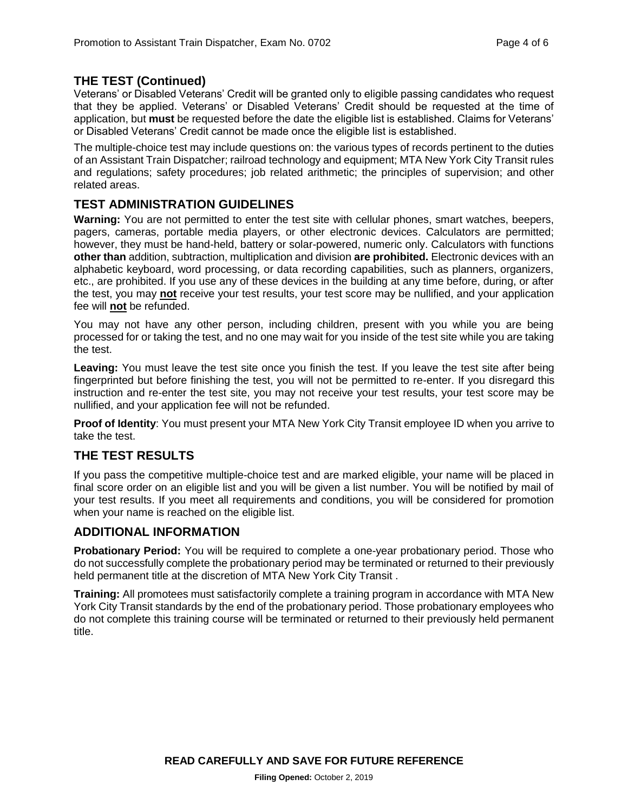#### **THE TEST (Continued)**

Veterans' or Disabled Veterans' Credit will be granted only to eligible passing candidates who request that they be applied. Veterans' or Disabled Veterans' Credit should be requested at the time of application, but **must** be requested before the date the eligible list is established. Claims for Veterans' or Disabled Veterans' Credit cannot be made once the eligible list is established.

The multiple-choice test may include questions on: the various types of records pertinent to the duties of an Assistant Train Dispatcher; railroad technology and equipment; MTA New York City Transit rules and regulations; safety procedures; job related arithmetic; the principles of supervision; and other related areas.

#### **TEST ADMINISTRATION GUIDELINES**

**Warning:** You are not permitted to enter the test site with cellular phones, smart watches, beepers, pagers, cameras, portable media players, or other electronic devices. Calculators are permitted; however, they must be hand-held, battery or solar-powered, numeric only. Calculators with functions **other than** addition, subtraction, multiplication and division **are prohibited.** Electronic devices with an alphabetic keyboard, word processing, or data recording capabilities, such as planners, organizers, etc., are prohibited. If you use any of these devices in the building at any time before, during, or after the test, you may **not** receive your test results, your test score may be nullified, and your application fee will **not** be refunded.

You may not have any other person, including children, present with you while you are being processed for or taking the test, and no one may wait for you inside of the test site while you are taking the test.

**Leaving:** You must leave the test site once you finish the test. If you leave the test site after being fingerprinted but before finishing the test, you will not be permitted to re-enter. If you disregard this instruction and re-enter the test site, you may not receive your test results, your test score may be nullified, and your application fee will not be refunded.

**Proof of Identity**: You must present your MTA New York City Transit employee ID when you arrive to take the test.

#### **THE TEST RESULTS**

If you pass the competitive multiple-choice test and are marked eligible, your name will be placed in final score order on an eligible list and you will be given a list number. You will be notified by mail of your test results. If you meet all requirements and conditions, you will be considered for promotion when your name is reached on the eligible list.

#### **ADDITIONAL INFORMATION**

**Probationary Period:** You will be required to complete a one-year probationary period. Those who do not successfully complete the probationary period may be terminated or returned to their previously held permanent title at the discretion of MTA New York City Transit .

**Training:** All promotees must satisfactorily complete a training program in accordance with MTA New York City Transit standards by the end of the probationary period. Those probationary employees who do not complete this training course will be terminated or returned to their previously held permanent title.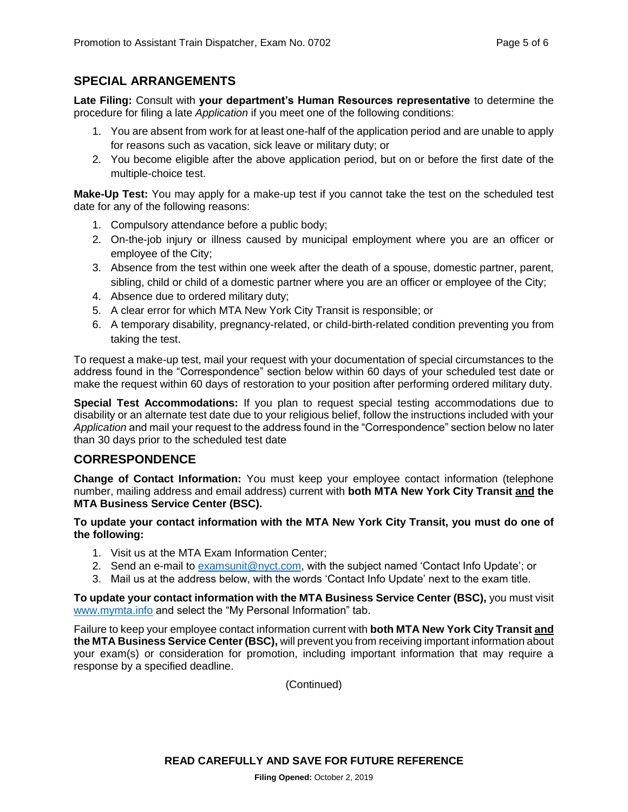#### **SPECIAL ARRANGEMENTS**

**Late Filing:** Consult with **your department's Human Resources representative** to determine the procedure for filing a late *Application* if you meet one of the following conditions:

- 1. You are absent from work for at least one-half of the application period and are unable to apply for reasons such as vacation, sick leave or military duty; or
- 2. You become eligible after the above application period, but on or before the first date of the multiple-choice test.

**Make-Up Test:** You may apply for a make-up test if you cannot take the test on the scheduled test date for any of the following reasons:

- 1. Compulsory attendance before a public body;
- 2. On-the-job injury or illness caused by municipal employment where you are an officer or employee of the City;
- 3. Absence from the test within one week after the death of a spouse, domestic partner, parent, sibling, child or child of a domestic partner where you are an officer or employee of the City;
- 4. Absence due to ordered military duty;
- 5. A clear error for which MTA New York City Transit is responsible; or
- 6. A temporary disability, pregnancy-related, or child-birth-related condition preventing you from taking the test.

To request a make-up test, mail your request with your documentation of special circumstances to the address found in the "Correspondence" section below within 60 days of your scheduled test date or make the request within 60 days of restoration to your position after performing ordered military duty.

**Special Test Accommodations:** If you plan to request special testing accommodations due to disability or an alternate test date due to your religious belief, follow the instructions included with your *Application* and mail your request to the address found in the "Correspondence" section below no later than 30 days prior to the scheduled test date

#### **CORRESPONDENCE**

**Change of Contact Information:** You must keep your employee contact information (telephone number, mailing address and email address) current with **both MTA New York City Transit and the MTA Business Service Center (BSC).**

#### **To update your contact information with the MTA New York City Transit, you must do one of the following:**

- 1. Visit us at the MTA Exam Information Center;
- 2. Send an e-mail to [examsunit@nyct.com,](mailto:examsunit@nyct.com) with the subject named 'Contact Info Update'; or
- 3. Mail us at the address below, with the words 'Contact Info Update' next to the exam title.

**To update your contact information with the MTA Business Service Center (BSC),** you must visit [www.mymta.info](http://www.mymta.info/) and select the "My Personal Information" tab.

Failure to keep your employee contact information current with **both MTA New York City Transit and the MTA Business Service Center (BSC),** will prevent you from receiving important information about your exam(s) or consideration for promotion, including important information that may require a response by a specified deadline.

(Continued)